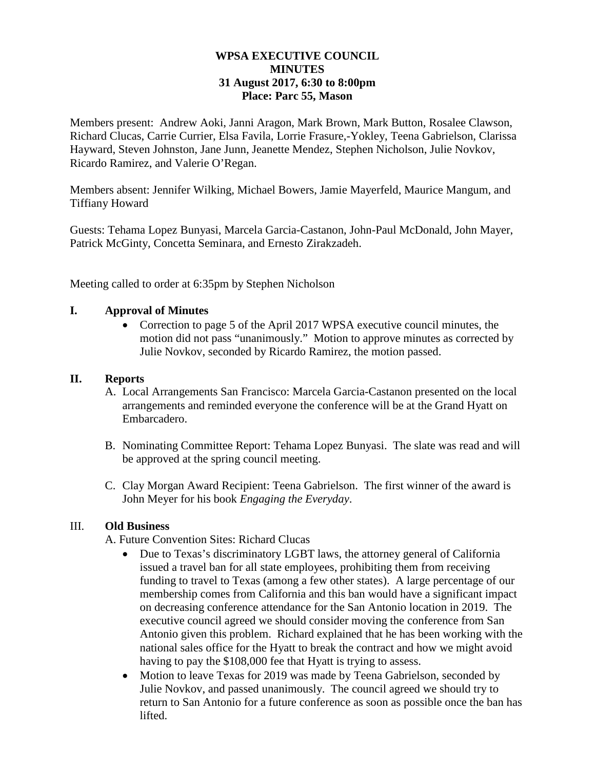## **WPSA EXECUTIVE COUNCIL MINUTES 31 August 2017, 6:30 to 8:00pm Place: Parc 55, Mason**

Members present: Andrew Aoki, Janni Aragon, Mark Brown, Mark Button, Rosalee Clawson, Richard Clucas, Carrie Currier, Elsa Favila, Lorrie Frasure,-Yokley, Teena Gabrielson, Clarissa Hayward, Steven Johnston, Jane Junn, Jeanette Mendez, Stephen Nicholson, Julie Novkov, Ricardo Ramirez, and Valerie O'Regan.

Members absent: Jennifer Wilking, Michael Bowers, Jamie Mayerfeld, Maurice Mangum, and Tiffiany Howard

Guests: Tehama Lopez Bunyasi, Marcela Garcia-Castanon, John-Paul McDonald, John Mayer, Patrick McGinty, Concetta Seminara, and Ernesto Zirakzadeh.

Meeting called to order at 6:35pm by Stephen Nicholson

## **I. Approval of Minutes**

• Correction to page 5 of the April 2017 WPSA executive council minutes, the motion did not pass "unanimously." Motion to approve minutes as corrected by Julie Novkov, seconded by Ricardo Ramirez, the motion passed.

## **II. Reports**

- A. Local Arrangements San Francisco: Marcela Garcia-Castanon presented on the local arrangements and reminded everyone the conference will be at the Grand Hyatt on Embarcadero.
- B. Nominating Committee Report: Tehama Lopez Bunyasi. The slate was read and will be approved at the spring council meeting.
- C. Clay Morgan Award Recipient: Teena Gabrielson. The first winner of the award is John Meyer for his book *Engaging the Everyday*.

## III. **Old Business**

A. Future Convention Sites: Richard Clucas

- Due to Texas's discriminatory LGBT laws, the attorney general of California issued a travel ban for all state employees, prohibiting them from receiving funding to travel to Texas (among a few other states). A large percentage of our membership comes from California and this ban would have a significant impact on decreasing conference attendance for the San Antonio location in 2019. The executive council agreed we should consider moving the conference from San Antonio given this problem. Richard explained that he has been working with the national sales office for the Hyatt to break the contract and how we might avoid having to pay the \$108,000 fee that Hyatt is trying to assess.
- Motion to leave Texas for 2019 was made by Teena Gabrielson, seconded by Julie Novkov, and passed unanimously. The council agreed we should try to return to San Antonio for a future conference as soon as possible once the ban has lifted.